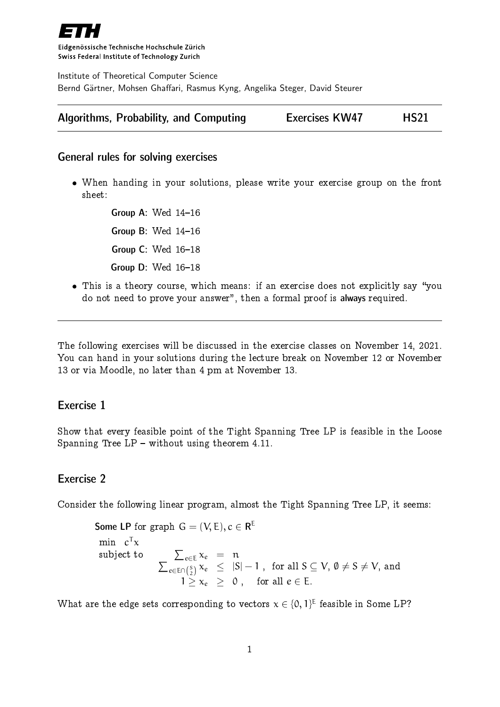

Eidgenössische Technische Hochschule Zürich Swiss Federal Institute of Technology Zurich

Institute of Theoretical Computer Science Bernd Gärtner, Mohsen Ghaffari, Rasmus Kyng, Angelika Steger, David Steurer

|  | Algorithms, Probability, and Computing |  | <b>Exercises KW47</b> |  | <b>HS21</b> |
|--|----------------------------------------|--|-----------------------|--|-------------|
|--|----------------------------------------|--|-----------------------|--|-------------|

#### General rules for solving exercises

 When handing in your solutions, please write your exercise group on the front sheet:

> Group A: Wed  $14-16$ Group B: Wed  $14-16$ Group  $C:$  Wed  $16-18$ Group D: Wed  $16-18$

• This is a theory course, which means: if an exercise does not explicitly say "you do not need to prove your answer", then a formal proof is always required.

The following exercises will be discussed in the exercise classes on November 14, 2021. You can hand in your solutions during the lecture break on November 12 or November 13 or via Moodle, no later than 4 pm at November 13.

### Exercise 1

Show that every feasible point of the Tight Spanning Tree LP is feasible in the Loose Spanning Tree  $LP -$  without using theorem 4.11.

### Exercise 2

Consider the following linear program, almost the Tight Spanning Tree LP, it seems:

**Some LP** for graph 
$$
G = (V, E), c \in \mathbb{R}^E
$$
 min  $c^T x$  subject to  $\sum_{e \in E \cap {S \atop 2}} x_e = n$   $\sum_{e \in E \cap {S \atop 2}} x_e \leq |S| - 1$ , for all  $S \subseteq V$ ,  $\emptyset \neq S \neq V$ , and  $1 \geq x_e \geq 0$ , for all  $e \in E$ .

What are the edge sets corresponding to vectors  $\mathsf{x} \in \{ \mathsf{0}, \mathsf{1} \}^\mathsf{E}$  feasible in Some LP?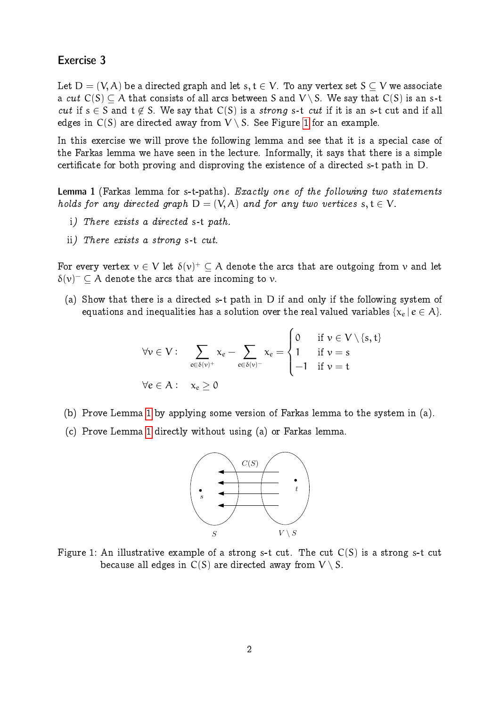#### Exercise 3

Let  $D = (V, A)$  be a directed graph and let s,  $t \in V$ . To any vertex set  $S \subseteq V$  we associate a cut  $C(S) \subset A$  that consists of all arcs between S and  $V \setminus S$ . We say that  $C(S)$  is an s-t cut if  $s \in S$  and  $t \notin S$ . We say that  $C(S)$  is a strong s-t cut if it is an s-t cut and if all edges in  $C(S)$  are directed away from  $V \setminus S$ . See Figure [1](#page-1-0) for an example.

In this exercise we will prove the following lemma and see that it is a special case of the Farkas lemma we have seen in the lecture. Informally, it says that there is a simple certicate for both proving and disproving the existence of a directed s-t path in D.

<span id="page-1-1"></span>Lemma 1 (Farkas lemma for s-t-paths). Exactly one of the following two statements holds for any directed graph  $D = (V, A)$  and for any two vertices s,  $t \in V$ .

- i) There exists a directed s-t path.
- ii) There exists a strong s-t cut.

For every vertex  $\mathsf{v}\in \mathsf{V}$  let  $\delta(\mathsf{v})^+ \subseteq \mathsf{A}$  denote the arcs that are outgoing from  $\mathsf{v}$  and let  $\delta(\nu)^+ \subseteq A$  denote the arcs that are incoming to  $\nu.$ 

(a) Show that there is a directed s-t path in D if and only if the following system of equations and inequalities has a solution over the real valued variables  $\{x_e | e \in A\}$ .

$$
\forall \nu \in V: \quad \sum_{e \in \delta(\nu)^+} x_e - \sum_{e \in \delta(\nu)^-} x_e = \begin{cases} 0 & \text{ if } \nu \in V \setminus \{s,t\} \\ 1 & \text{ if } \nu = s \\ -1 & \text{ if } \nu = t \end{cases}
$$

$$
\forall e \in A: \quad x_e \ge 0
$$

- (b) Prove Lemma [1](#page-1-1) by applying some version of Farkas lemma to the system in (a).
- (c) Prove Lemma [1](#page-1-1) directly without using (a) or Farkas lemma.



<span id="page-1-0"></span>Figure 1: An illustrative example of a strong s-t cut. The cut  $C(S)$  is a strong s-t cut because all edges in  $C(S)$  are directed away from  $V \setminus S$ .